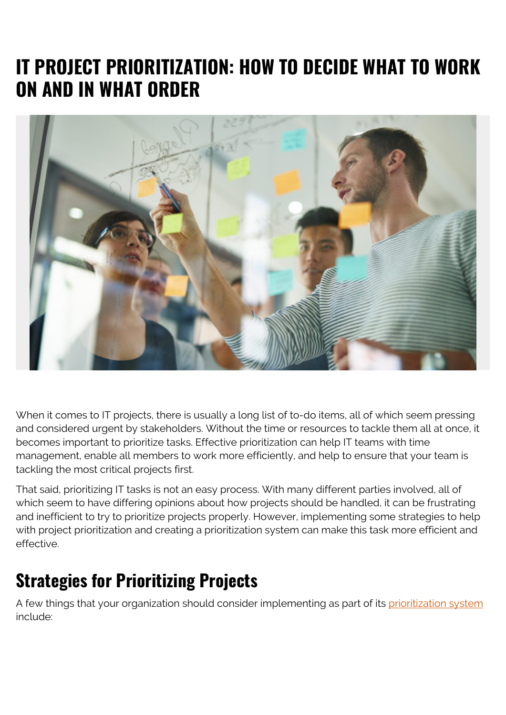# **IT PROJECT PRIORITIZATION: HOW TO DECIDE WHAT TO WORK ON AND IN WHAT ORDER**



When it comes to IT projects, there is usually a long list of to-do items, all of which seem pressing and considered urgent by stakeholders. Without the time or resources to tackle them all at once, it becomes important to prioritize tasks. Effective prioritization can help IT teams with time management, enable all members to work more efficiently, and help to ensure that your team is tackling the most critical projects first.

That said, prioritizing IT tasks is not an easy process. With many different parties involved, all of which seem to have differing opinions about how projects should be handled, it can be frustrating and inefficient to try to prioritize projects properly. However, implementing some strategies to help with project prioritization and creating a prioritization system can make this task more efficient and effective.

## **Strategies for Prioritizing Projects**

A few things that your organization should consider implementing as part of its [prioritization system](https://www.cio.com/article/3007575/6-proven-strategies-for-evaluating-and-prioritizing-it-projects.html) include: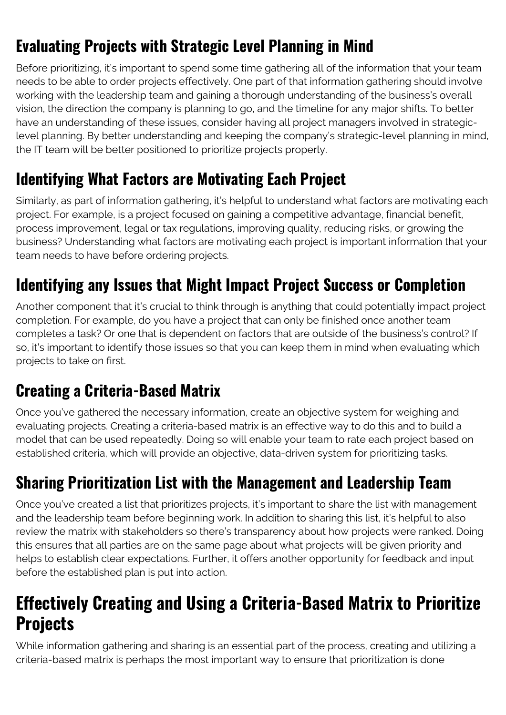## **Evaluating Projects with Strategic Level Planning in Mind**

Before prioritizing, it's important to spend some time gathering all of the information that your team needs to be able to order projects effectively. One part of that information gathering should involve working with the leadership team and gaining a thorough understanding of the business's overall vision, the direction the company is planning to go, and the timeline for any major shifts. To better have an understanding of these issues, consider having all project managers involved in strategiclevel planning. By better understanding and keeping the company's strategic-level planning in mind, the IT team will be better positioned to prioritize projects properly.

#### **Identifying What Factors are Motivating Each Project**

Similarly, as part of information gathering, it's helpful to understand what factors are motivating each project. For example, is a project focused on gaining a competitive advantage, financial benefit, process improvement, legal or tax regulations, improving quality, reducing risks, or growing the business? Understanding what factors are motivating each project is important information that your team needs to have before ordering projects.

#### **Identifying any Issues that Might Impact Project Success or Completion**

Another component that it's crucial to think through is anything that could potentially impact project completion. For example, do you have a project that can only be finished once another team completes a task? Or one that is dependent on factors that are outside of the business's control? If so, it's important to identify those issues so that you can keep them in mind when evaluating which projects to take on first.

#### **Creating a Criteria-Based Matrix**

Once you've gathered the necessary information, create an objective system for weighing and evaluating projects. Creating a criteria-based matrix is an effective way to do this and to build a model that can be used repeatedly. Doing so will enable your team to rate each project based on established criteria, which will provide an objective, data-driven system for prioritizing tasks.

#### **Sharing Prioritization List with the Management and Leadership Team**

Once you've created a list that prioritizes projects, it's important to share the list with management and the leadership team before beginning work. In addition to sharing this list, it's helpful to also review the matrix with stakeholders so there's transparency about how projects were ranked. Doing this ensures that all parties are on the same page about what projects will be given priority and helps to establish clear expectations. Further, it offers another opportunity for feedback and input before the established plan is put into action.

#### **Effectively Creating and Using a Criteria-Based Matrix to Prioritize Projects**

While information gathering and sharing is an essential part of the process, creating and utilizing a criteria-based matrix is perhaps the most important way to ensure that prioritization is done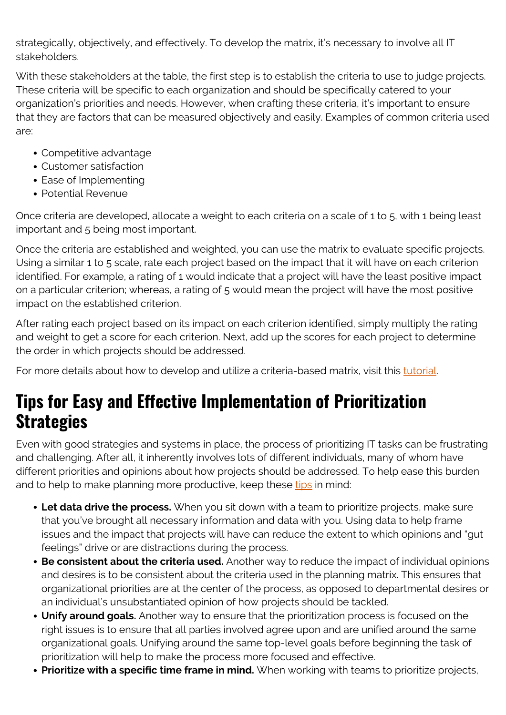strategically, objectively, and effectively. To develop the matrix, it's necessary to involve all IT stakeholders.

With these stakeholders at the table, the first step is to establish the criteria to use to judge projects. These criteria will be specific to each organization and should be specifically catered to your organization's priorities and needs. However, when crafting these criteria, it's important to ensure that they are factors that can be measured objectively and easily. Examples of common criteria used are:

- Competitive advantage
- Customer satisfaction
- Ease of Implementing
- Potential Revenue

Once criteria are developed, allocate a weight to each criteria on a scale of 1 to 5, with 1 being least important and 5 being most important.

Once the criteria are established and weighted, you can use the matrix to evaluate specific projects. Using a similar 1 to 5 scale, rate each project based on the impact that it will have on each criterion identified. For example, a rating of 1 would indicate that a project will have the least positive impact on a particular criterion; whereas, a rating of 5 would mean the project will have the most positive impact on the established criterion.

After rating each project based on its impact on each criterion identified, simply multiply the rating and weight to get a score for each criterion. Next, add up the scores for each project to determine the order in which projects should be addressed.

For more details about how to develop and utilize a criteria-based matrix, visit this [tutorial.](https://www.isixsigma.com/operations/information-technology/applying-criteria-based-matrix-prioritize-it-projects/)

### **Tips for Easy and Effective Implementation of Prioritization Strategies**

Even with good strategies and systems in place, the process of prioritizing IT tasks can be frustrating and challenging. After all, it inherently involves lots of different individuals, many of whom have different priorities and opinions about how projects should be addressed. To help ease this burden and to help to make planning more productive, keep these [tips](https://www.atlassian.com/blog/teamwork/project-prioritization-mistakes-and-cures) in mind:

- **Let data drive the process.** When you sit down with a team to prioritize projects, make sure that you've brought all necessary information and data with you. Using data to help frame issues and the impact that projects will have can reduce the extent to which opinions and "gut feelings" drive or are distractions during the process.
- **Be consistent about the criteria used.** Another way to reduce the impact of individual opinions and desires is to be consistent about the criteria used in the planning matrix. This ensures that organizational priorities are at the center of the process, as opposed to departmental desires or an individual's unsubstantiated opinion of how projects should be tackled.
- **Unify around goals.** Another way to ensure that the prioritization process is focused on the right issues is to ensure that all parties involved agree upon and are unified around the same organizational goals. Unifying around the same top-level goals before beginning the task of prioritization will help to make the process more focused and effective.
- **Prioritize with a specific time frame in mind.** When working with teams to prioritize projects,